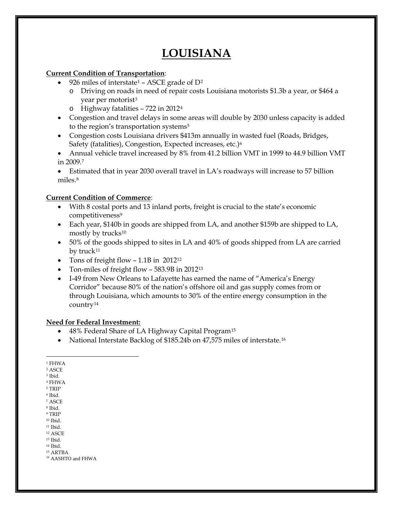# **LOUISIANA**

#### **Current Condition of Transportation**:

- 926 miles of interstate<sup>[1](#page-0-0)</sup> ASCE grade of  $D^2$  $D^2$ 
	- o Driving on roads in need of repair costs Louisiana motorists \$1.3b a year, or \$464 a year per motorist<sup>[3](#page-0-2)</sup>
	- o Highway fatalities 722 in 2012[4](#page-0-3)
- Congestion and travel delays in some areas will double by 2030 unless capacity is added to the region's transportation systems<sup>[5](#page-0-4)</sup>
- Congestion costs Louisiana drivers \$413m annually in wasted fuel (Roads, Bridges, Safety (fatalities), Congestion, Expected increases, etc.)[6](#page-0-5)
- Annual vehicle travel increased by 8% from 41.2 billion VMT in 1999 to 44.9 billion VMT in 2009.[7](#page-0-6)

• Estimated that in year 2030 overall travel in LA's roadways will increase to 57 billion miles.[8](#page-0-7)

### **Current Condition of Commerce**:

- With 8 costal ports and 13 inland ports, freight is crucial to the state's economic competitiveness<sup>[9](#page-0-8)</sup>
- Each year, \$140b in goods are shipped from LA, and another \$159b are shipped to LA, mostly by trucks[10](#page-0-9)
- 50% of the goods shipped to sites in LA and 40% of goods shipped from LA are carried by truck<sup>[11](#page-0-10)</sup>
- Tons of freight flow 1.1B in 20[12](#page-0-11)<sup>12</sup>
- Ton-miles of freight flow 583.9B in 2012<sup>13</sup>
- I-49 from New Orleans to Lafayette has earned the name of "America's Energy Corridor" because 80% of the nation's offshore oil and gas supply comes from or through Louisiana, which amounts to 30% of the entire energy consumption in the country[14](#page-0-13)

### **Need for Federal Investment:**

- 48% Federal Share of LA Highway Capital Program<sup>[15](#page-0-14)</sup>
- National Interstate Backlog of \$185.24b on 47,575 miles of interstate.[16](#page-0-15)

<span id="page-0-0"></span><sup>1</sup> FHWA

 $\overline{a}$ 

<span id="page-0-1"></span><sup>2</sup> ASCE

<span id="page-0-2"></span><sup>3</sup> Ibid.

<span id="page-0-3"></span><sup>4</sup> FHWA  $^{\rm 5}$  TRIP

<span id="page-0-5"></span><span id="page-0-4"></span><sup>6</sup> Ibid.

<span id="page-0-6"></span><sup>7</sup> ASCE

<span id="page-0-7"></span><sup>8</sup> Ibid.

<span id="page-0-8"></span><sup>9</sup> TRIP

<span id="page-0-9"></span><sup>10</sup> Ibid.

<span id="page-0-10"></span><sup>11</sup> Ibid.

<span id="page-0-11"></span><sup>12</sup> ASCE

<span id="page-0-12"></span><sup>13</sup> Ibid.

<span id="page-0-13"></span><sup>14</sup> Ibid. <sup>15</sup> ARTBA

<span id="page-0-15"></span><span id="page-0-14"></span><sup>16</sup> AASHTO and FHWA